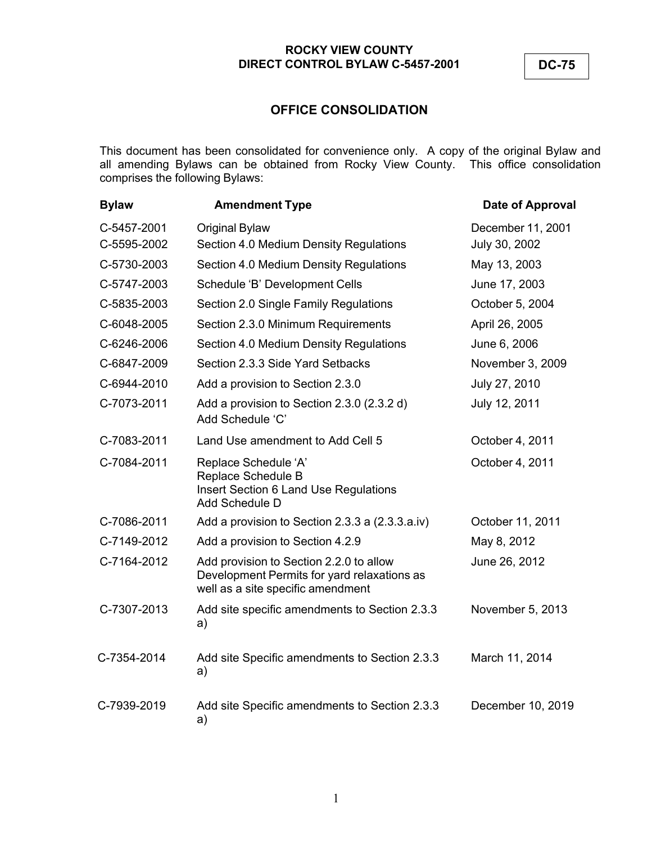## **ROCKY VIEW COUNTY DIRECT CONTROL BYLAW C-5457-2001 DC-75**

# **OFFICE CONSOLIDATION**

This document has been consolidated for convenience only. A copy of the original Bylaw and all amending Bylaws can be obtained from Rocky View County. This office consolidation comprises the following Bylaws:

| <b>Bylaw</b> | <b>Amendment Type</b>                                                                                                       | Date of Approval  |
|--------------|-----------------------------------------------------------------------------------------------------------------------------|-------------------|
| C-5457-2001  | <b>Original Bylaw</b>                                                                                                       | December 11, 2001 |
| C-5595-2002  | Section 4.0 Medium Density Regulations                                                                                      | July 30, 2002     |
| C-5730-2003  | Section 4.0 Medium Density Regulations                                                                                      | May 13, 2003      |
| C-5747-2003  | Schedule 'B' Development Cells                                                                                              | June 17, 2003     |
| C-5835-2003  | Section 2.0 Single Family Regulations                                                                                       | October 5, 2004   |
| C-6048-2005  | Section 2.3.0 Minimum Requirements                                                                                          | April 26, 2005    |
| C-6246-2006  | Section 4.0 Medium Density Regulations                                                                                      | June 6, 2006      |
| C-6847-2009  | Section 2.3.3 Side Yard Setbacks                                                                                            | November 3, 2009  |
| C-6944-2010  | Add a provision to Section 2.3.0                                                                                            | July 27, 2010     |
| C-7073-2011  | Add a provision to Section 2.3.0 (2.3.2 d)<br>Add Schedule 'C'                                                              | July 12, 2011     |
| C-7083-2011  | Land Use amendment to Add Cell 5                                                                                            | October 4, 2011   |
| C-7084-2011  | Replace Schedule 'A'<br>Replace Schedule B<br><b>Insert Section 6 Land Use Regulations</b><br>Add Schedule D                | October 4, 2011   |
| C-7086-2011  | Add a provision to Section 2.3.3 a (2.3.3.a.iv)                                                                             | October 11, 2011  |
| C-7149-2012  | Add a provision to Section 4.2.9                                                                                            | May 8, 2012       |
| C-7164-2012  | Add provision to Section 2.2.0 to allow<br>Development Permits for yard relaxations as<br>well as a site specific amendment | June 26, 2012     |
| C-7307-2013  | Add site specific amendments to Section 2.3.3<br>a)                                                                         | November 5, 2013  |
| C-7354-2014  | Add site Specific amendments to Section 2.3.3<br>a)                                                                         | March 11, 2014    |
| C-7939-2019  | Add site Specific amendments to Section 2.3.3<br>a)                                                                         | December 10, 2019 |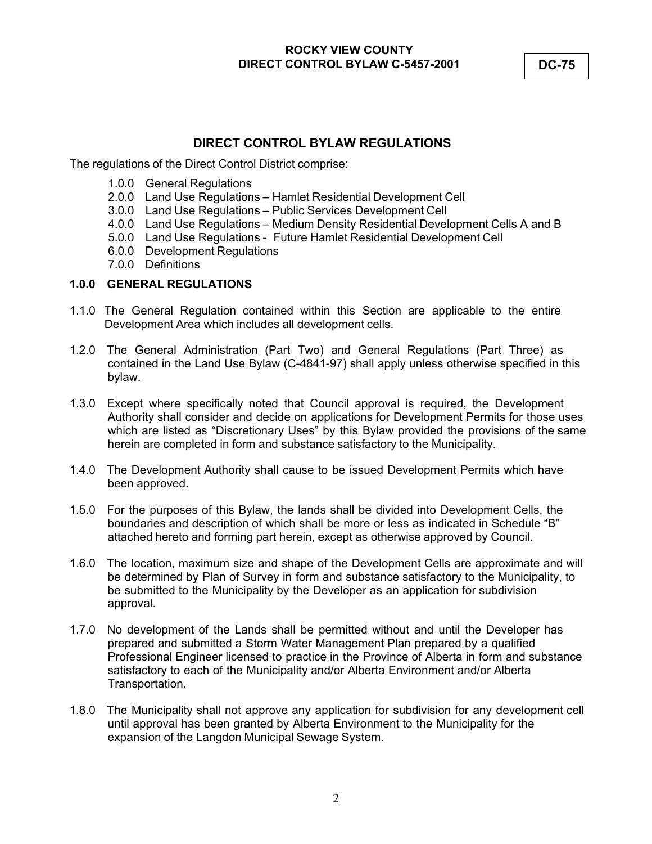# **DIRECT CONTROL BYLAW REGULATIONS**

The regulations of the Direct Control District comprise:

- 1.0.0 General Regulations
- 2.0.0 Land Use Regulations Hamlet Residential Development Cell
- 3.0.0 Land Use Regulations Public Services Development Cell
- 4.0.0 Land Use Regulations Medium Density Residential Development Cells A and B
- 5.0.0 Land Use Regulations Future Hamlet Residential Development Cell
- 6.0.0 Development Regulations
- 7.0.0 Definitions

## **1.0.0 GENERAL REGULATIONS**

- 1.1.0 The General Regulation contained within this Section are applicable to the entire Development Area which includes all development cells.
- 1.2.0 The General Administration (Part Two) and General Regulations (Part Three) as contained in the Land Use Bylaw (C-4841-97) shall apply unless otherwise specified in this bylaw.
- 1.3.0 Except where specifically noted that Council approval is required, the Development Authority shall consider and decide on applications for Development Permits for those uses which are listed as "Discretionary Uses" by this Bylaw provided the provisions of the same herein are completed in form and substance satisfactory to the Municipality.
- 1.4.0 The Development Authority shall cause to be issued Development Permits which have been approved.
- 1.5.0 For the purposes of this Bylaw, the lands shall be divided into Development Cells, the boundaries and description of which shall be more or less as indicated in Schedule "B" attached hereto and forming part herein, except as otherwise approved by Council.
- 1.6.0 The location, maximum size and shape of the Development Cells are approximate and will be determined by Plan of Survey in form and substance satisfactory to the Municipality, to be submitted to the Municipality by the Developer as an application for subdivision approval.
- 1.7.0 No development of the Lands shall be permitted without and until the Developer has prepared and submitted a Storm Water Management Plan prepared by a qualified Professional Engineer licensed to practice in the Province of Alberta in form and substance satisfactory to each of the Municipality and/or Alberta Environment and/or Alberta Transportation.
- 1.8.0 The Municipality shall not approve any application for subdivision for any development cell until approval has been granted by Alberta Environment to the Municipality for the expansion of the Langdon Municipal Sewage System.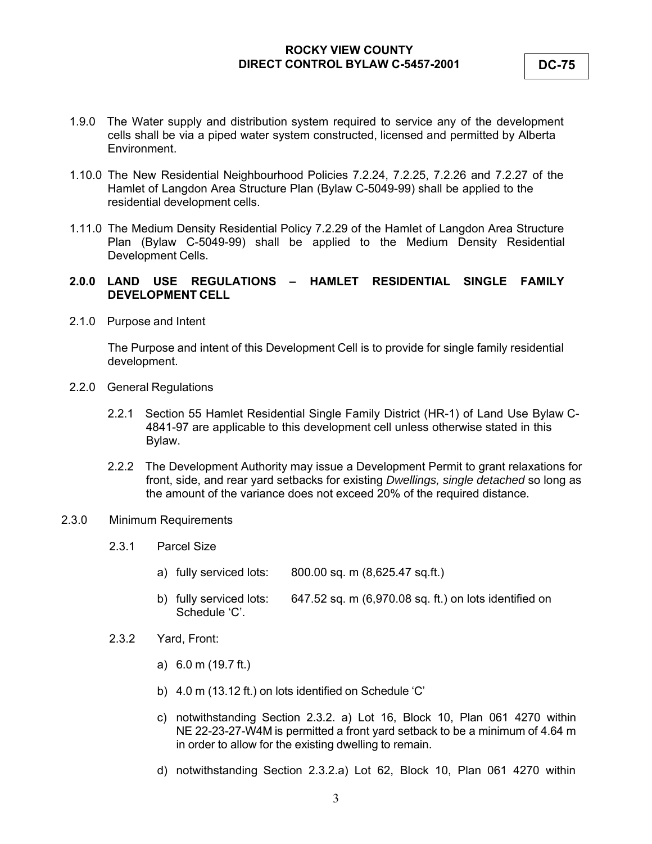- 1.9.0 The Water supply and distribution system required to service any of the development cells shall be via a piped water system constructed, licensed and permitted by Alberta Environment.
- 1.10.0 The New Residential Neighbourhood Policies 7.2.24, 7.2.25, 7.2.26 and 7.2.27 of the Hamlet of Langdon Area Structure Plan (Bylaw C-5049-99) shall be applied to the residential development cells.
- 1.11.0 The Medium Density Residential Policy 7.2.29 of the Hamlet of Langdon Area Structure Plan (Bylaw C-5049-99) shall be applied to the Medium Density Residential Development Cells.

## **2.0.0 LAND USE REGULATIONS – HAMLET RESIDENTIAL SINGLE FAMILY DEVELOPMENT CELL**

2.1.0 Purpose and Intent

The Purpose and intent of this Development Cell is to provide for single family residential development.

- 2.2.0 General Regulations
	- 2.2.1 Section 55 Hamlet Residential Single Family District (HR-1) of Land Use Bylaw C-4841-97 are applicable to this development cell unless otherwise stated in this Bylaw.
	- 2.2.2 The Development Authority may issue a Development Permit to grant relaxations for front, side, and rear yard setbacks for existing *Dwellings, single detached* so long as the amount of the variance does not exceed 20% of the required distance.

#### 2.3.0 Minimum Requirements

- 2.3.1 Parcel Size
	- a) fully serviced lots: 800.00 sq. m (8,625.47 sq.ft.)
	- b) fully serviced lots: 647.52 sq. m (6,970.08 sq. ft.) on lots identified on Schedule 'C'.
- 2.3.2 Yard, Front:
	- a) 6.0 m (19.7 ft.)
	- b) 4.0 m (13.12 ft.) on lots identified on Schedule 'C'
	- c) notwithstanding Section 2.3.2. a) Lot 16, Block 10, Plan 061 4270 within NE 22-23-27-W4M is permitted a front yard setback to be a minimum of 4.64 m in order to allow for the existing dwelling to remain.
	- d) notwithstanding Section 2.3.2.a) Lot 62, Block 10, Plan 061 4270 within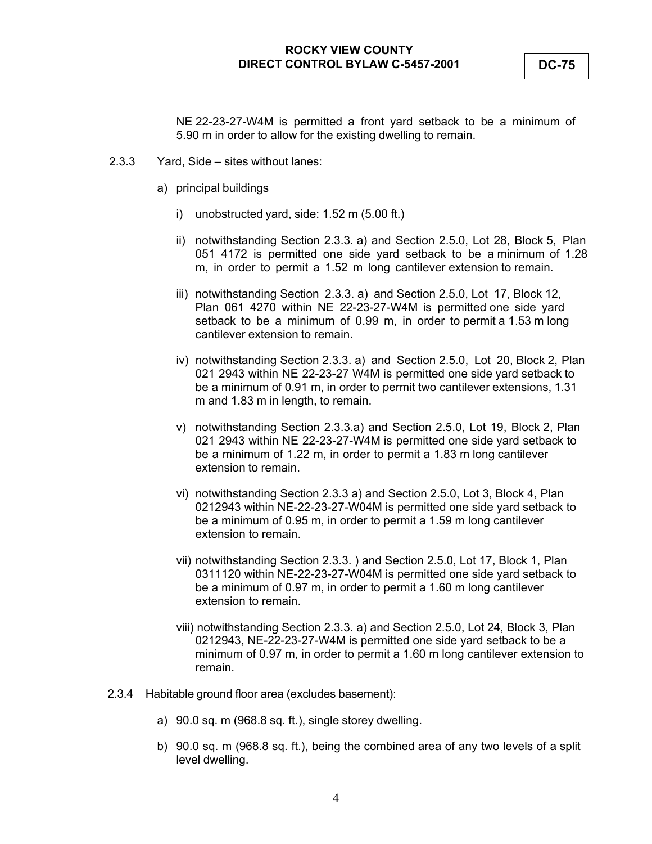NE 22-23-27-W4M is permitted a front yard setback to be a minimum of 5.90 m in order to allow for the existing dwelling to remain.

- 2.3.3 Yard, Side sites without lanes:
	- a) principal buildings
		- i) unobstructed yard, side: 1.52 m (5.00 ft.)
		- ii) notwithstanding Section 2.3.3. a) and Section 2.5.0, Lot 28, Block 5, Plan 051 4172 is permitted one side yard setback to be a minimum of 1.28 m, in order to permit a 1.52 m long cantilever extension to remain.
		- iii) notwithstanding Section 2.3.3. a) and Section 2.5.0, Lot 17, Block 12, Plan 061 4270 within NE 22-23-27-W4M is permitted one side yard setback to be a minimum of 0.99 m, in order to permit a 1.53 m long cantilever extension to remain.
		- iv) notwithstanding Section 2.3.3. a) and Section 2.5.0, Lot 20, Block 2, Plan 021 2943 within NE 22-23-27 W4M is permitted one side yard setback to be a minimum of 0.91 m, in order to permit two cantilever extensions, 1.31 m and 1.83 m in length, to remain.
		- v) notwithstanding Section 2.3.3.a) and Section 2.5.0, Lot 19, Block 2, Plan 021 2943 within NE 22-23-27-W4M is permitted one side yard setback to be a minimum of 1.22 m, in order to permit a 1.83 m long cantilever extension to remain.
		- vi) notwithstanding Section 2.3.3 a) and Section 2.5.0, Lot 3, Block 4, Plan 0212943 within NE-22-23-27-W04M is permitted one side yard setback to be a minimum of 0.95 m, in order to permit a 1.59 m long cantilever extension to remain.
		- vii) notwithstanding Section 2.3.3. ) and Section 2.5.0, Lot 17, Block 1, Plan 0311120 within NE-22-23-27-W04M is permitted one side yard setback to be a minimum of 0.97 m, in order to permit a 1.60 m long cantilever extension to remain.
		- viii) notwithstanding Section 2.3.3. a) and Section 2.5.0, Lot 24, Block 3, Plan 0212943, NE-22-23-27-W4M is permitted one side yard setback to be a minimum of 0.97 m, in order to permit a 1.60 m long cantilever extension to remain.
- 2.3.4 Habitable ground floor area (excludes basement):
	- a) 90.0 sq. m (968.8 sq. ft.), single storey dwelling.
	- b) 90.0 sq. m (968.8 sq. ft.), being the combined area of any two levels of a split level dwelling.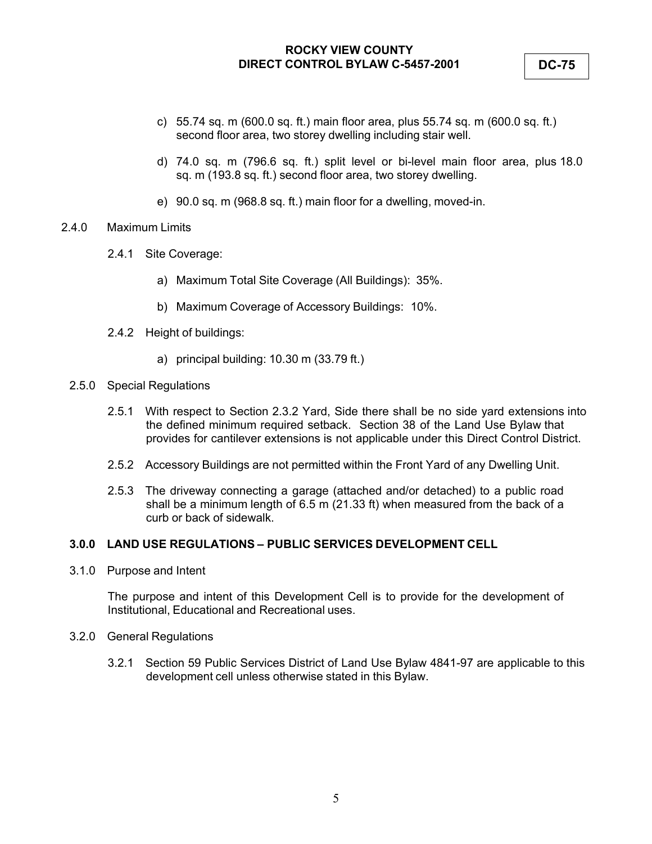- c) 55.74 sq. m (600.0 sq. ft.) main floor area, plus 55.74 sq. m (600.0 sq. ft.) second floor area, two storey dwelling including stair well.
- d) 74.0 sq. m (796.6 sq. ft.) split level or bi-level main floor area, plus 18.0 sq. m (193.8 sq. ft.) second floor area, two storey dwelling.
- e) 90.0 sq. m (968.8 sq. ft.) main floor for a dwelling, moved-in.
- 2.4.0 Maximum Limits
	- 2.4.1 Site Coverage:
		- a) Maximum Total Site Coverage (All Buildings): 35%.
		- b) Maximum Coverage of Accessory Buildings: 10%.
	- 2.4.2 Height of buildings:
		- a) principal building: 10.30 m (33.79 ft.)
	- 2.5.0 Special Regulations
		- 2.5.1 With respect to Section 2.3.2 Yard, Side there shall be no side yard extensions into the defined minimum required setback. Section 38 of the Land Use Bylaw that provides for cantilever extensions is not applicable under this Direct Control District.
		- 2.5.2 Accessory Buildings are not permitted within the Front Yard of any Dwelling Unit.
		- 2.5.3 The driveway connecting a garage (attached and/or detached) to a public road shall be a minimum length of 6.5 m (21.33 ft) when measured from the back of a curb or back of sidewalk.

## **3.0.0 LAND USE REGULATIONS – PUBLIC SERVICES DEVELOPMENT CELL**

3.1.0 Purpose and Intent

The purpose and intent of this Development Cell is to provide for the development of Institutional, Educational and Recreational uses.

- 3.2.0 General Regulations
	- 3.2.1 Section 59 Public Services District of Land Use Bylaw 4841-97 are applicable to this development cell unless otherwise stated in this Bylaw.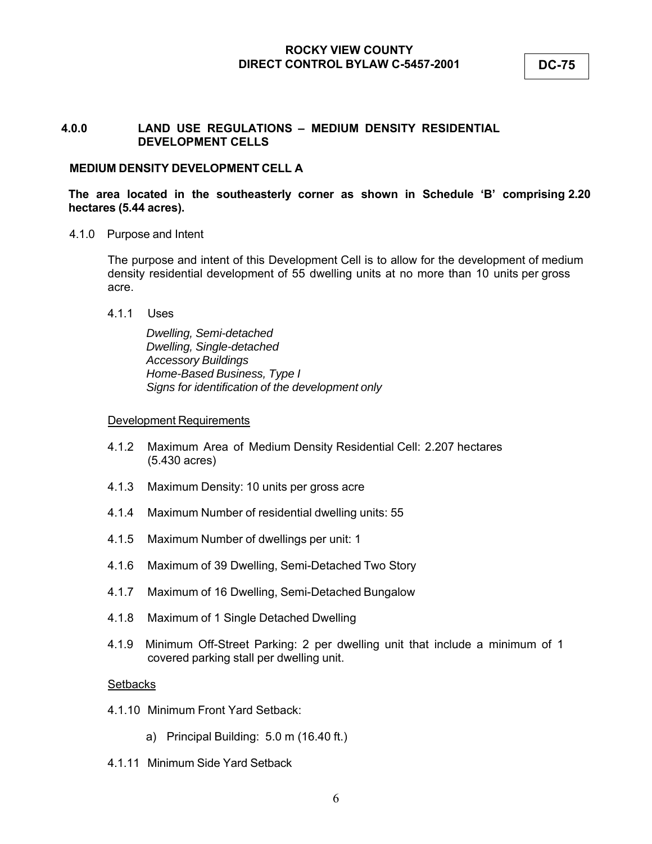## **ROCKY VIEW COUNTY DIRECT CONTROL BYLAW C-5457-2001 DC-75**

## **4.0.0 LAND USE REGULATIONS – MEDIUM DENSITY RESIDENTIAL DEVELOPMENT CELLS**

#### **MEDIUM DENSITY DEVELOPMENT CELL A**

## **The area located in the southeasterly corner as shown in Schedule 'B' comprising 2.20 hectares (5.44 acres).**

4.1.0 Purpose and Intent

The purpose and intent of this Development Cell is to allow for the development of medium density residential development of 55 dwelling units at no more than 10 units per gross acre.

4.1.1 Uses

*Dwelling, Semi-detached Dwelling, Single-detached Accessory Buildings Home-Based Business, Type I Signs for identification of the development only* 

## Development Requirements

- 4.1.2 Maximum Area of Medium Density Residential Cell: 2.207 hectares (5.430 acres)
- 4.1.3 Maximum Density: 10 units per gross acre
- 4.1.4 Maximum Number of residential dwelling units: 55
- 4.1.5 Maximum Number of dwellings per unit: 1
- 4.1.6 Maximum of 39 Dwelling, Semi-Detached Two Story
- 4.1.7 Maximum of 16 Dwelling, Semi-Detached Bungalow
- 4.1.8 Maximum of 1 Single Detached Dwelling
- 4.1.9 Minimum Off-Street Parking: 2 per dwelling unit that include a minimum of 1 covered parking stall per dwelling unit.

#### **Setbacks**

- 4.1.10 Minimum Front Yard Setback:
	- a) Principal Building: 5.0 m (16.40 ft.)
- 4.1.11 Minimum Side Yard Setback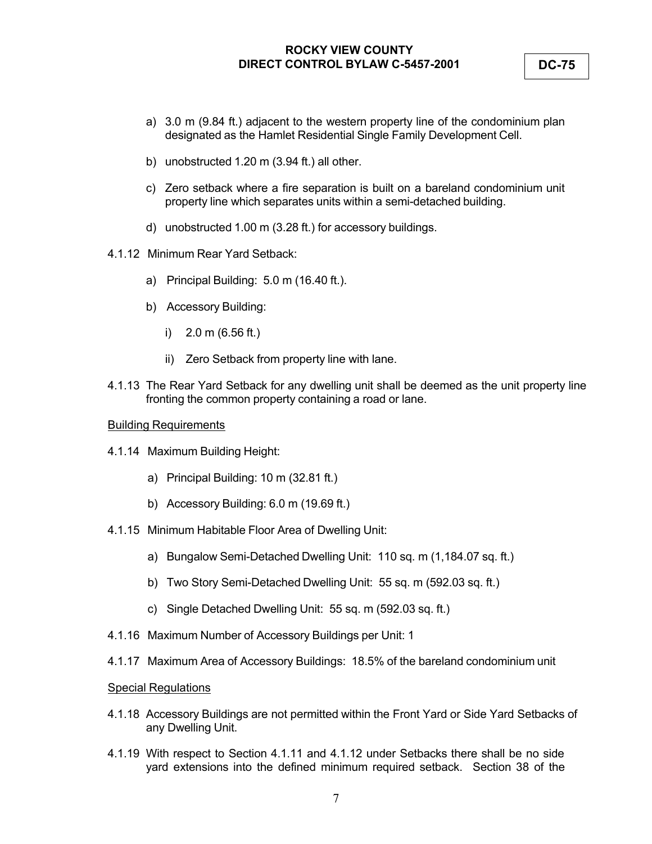- a) 3.0 m (9.84 ft.) adjacent to the western property line of the condominium plan designated as the Hamlet Residential Single Family Development Cell.
- b) unobstructed 1.20 m (3.94 ft.) all other.
- c) Zero setback where a fire separation is built on a bareland condominium unit property line which separates units within a semi-detached building.
- d) unobstructed 1.00 m (3.28 ft.) for accessory buildings.
- 4.1.12 Minimum Rear Yard Setback:
	- a) Principal Building: 5.0 m (16.40 ft.).
	- b) Accessory Building:
		- i) 2.0 m (6.56 ft.)
		- ii) Zero Setback from property line with lane.
- 4.1.13 The Rear Yard Setback for any dwelling unit shall be deemed as the unit property line fronting the common property containing a road or lane.

#### Building Requirements

- 4.1.14 Maximum Building Height:
	- a) Principal Building: 10 m (32.81 ft.)
	- b) Accessory Building: 6.0 m (19.69 ft.)
- 4.1.15 Minimum Habitable Floor Area of Dwelling Unit:
	- a) Bungalow Semi-Detached Dwelling Unit: 110 sq. m (1,184.07 sq. ft.)
	- b) Two Story Semi-Detached Dwelling Unit: 55 sq. m (592.03 sq. ft.)
	- c) Single Detached Dwelling Unit: 55 sq. m (592.03 sq. ft.)
- 4.1.16 Maximum Number of Accessory Buildings per Unit: 1
- 4.1.17 Maximum Area of Accessory Buildings: 18.5% of the bareland condominium unit

#### Special Regulations

- 4.1.18 Accessory Buildings are not permitted within the Front Yard or Side Yard Setbacks of any Dwelling Unit.
- 4.1.19 With respect to Section 4.1.11 and 4.1.12 under Setbacks there shall be no side yard extensions into the defined minimum required setback. Section 38 of the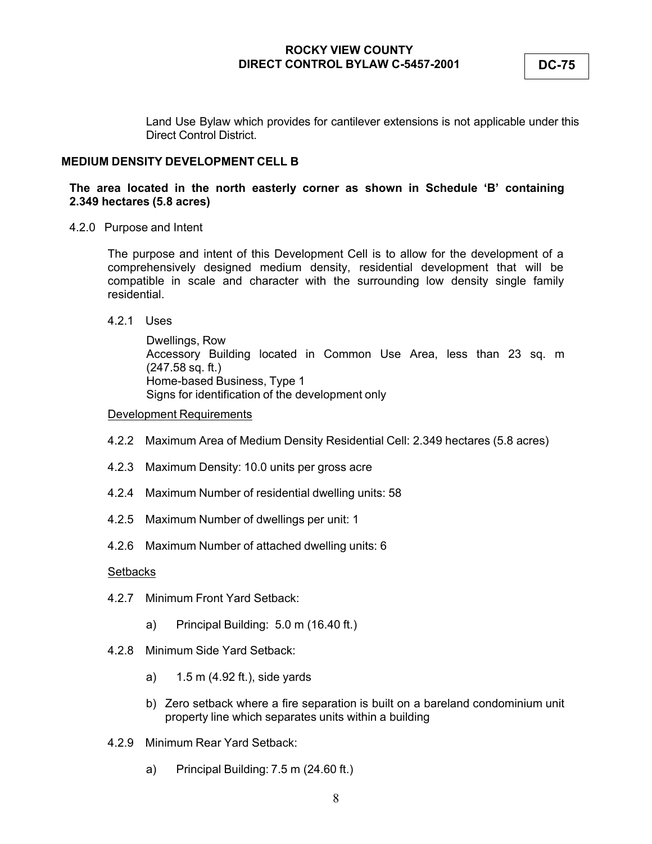Land Use Bylaw which provides for cantilever extensions is not applicable under this Direct Control District.

#### **MEDIUM DENSITY DEVELOPMENT CELL B**

## **The area located in the north easterly corner as shown in Schedule 'B' containing 2.349 hectares (5.8 acres)**

4.2.0 Purpose and Intent

The purpose and intent of this Development Cell is to allow for the development of a comprehensively designed medium density, residential development that will be compatible in scale and character with the surrounding low density single family residential.

4.2.1 Uses

Dwellings, Row Accessory Building located in Common Use Area, less than 23 sq. m (247.58 sq. ft.) Home-based Business, Type 1 Signs for identification of the development only

#### Development Requirements

- 4.2.2 Maximum Area of Medium Density Residential Cell: 2.349 hectares (5.8 acres)
- 4.2.3 Maximum Density: 10.0 units per gross acre
- 4.2.4 Maximum Number of residential dwelling units: 58
- 4.2.5 Maximum Number of dwellings per unit: 1
- 4.2.6 Maximum Number of attached dwelling units: 6

### **Setbacks**

- 4.2.7 Minimum Front Yard Setback:
	- a) Principal Building: 5.0 m (16.40 ft.)
- 4.2.8 Minimum Side Yard Setback:
	- a) 1.5 m (4.92 ft.), side yards
	- b) Zero setback where a fire separation is built on a bareland condominium unit property line which separates units within a building
- 4.2.9 Minimum Rear Yard Setback:
	- a) Principal Building: 7.5 m (24.60 ft.)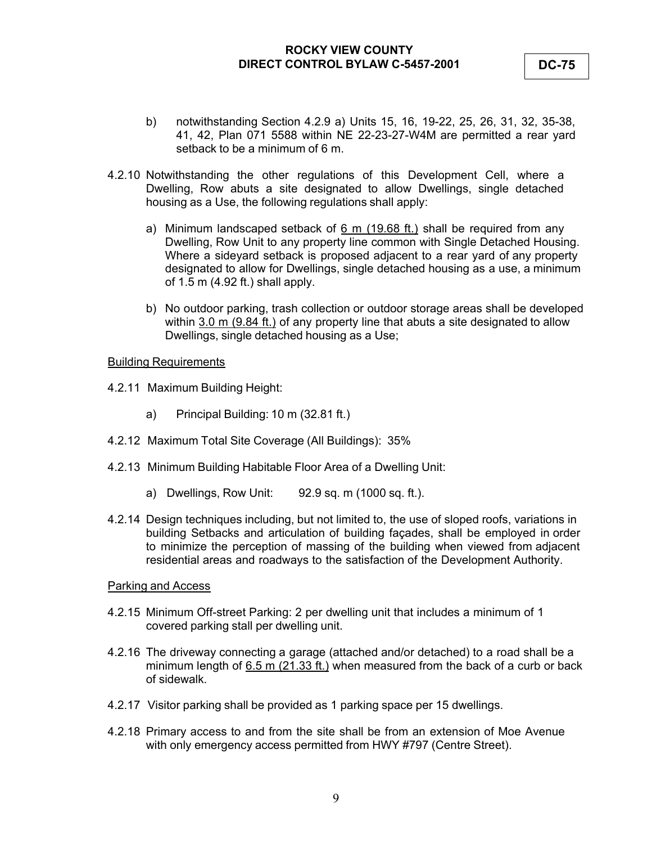- b) notwithstanding Section 4.2.9 a) Units 15, 16, 19-22, 25, 26, 31, 32, 35-38, 41, 42, Plan 071 5588 within NE 22-23-27-W4M are permitted a rear yard setback to be a minimum of 6 m.
- 4.2.10 Notwithstanding the other regulations of this Development Cell, where a Dwelling, Row abuts a site designated to allow Dwellings, single detached housing as a Use, the following regulations shall apply:
	- a) Minimum landscaped setback of  $6 \text{ m}$  (19.68 ft.) shall be required from any Dwelling, Row Unit to any property line common with Single Detached Housing. Where a sideyard setback is proposed adjacent to a rear yard of any property designated to allow for Dwellings, single detached housing as a use, a minimum of 1.5 m (4.92 ft.) shall apply.
	- b) No outdoor parking, trash collection or outdoor storage areas shall be developed within  $3.0$  m (9.84 ft.) of any property line that abuts a site designated to allow Dwellings, single detached housing as a Use;

#### Building Requirements

- 4.2.11 Maximum Building Height:
	- a) Principal Building: 10 m (32.81 ft.)
- 4.2.12 Maximum Total Site Coverage (All Buildings): 35%
- 4.2.13 Minimum Building Habitable Floor Area of a Dwelling Unit:
	- a) Dwellings, Row Unit: 92.9 sq. m (1000 sq. ft.).
- 4.2.14 Design techniques including, but not limited to, the use of sloped roofs, variations in building Setbacks and articulation of building façades, shall be employed in order to minimize the perception of massing of the building when viewed from adjacent residential areas and roadways to the satisfaction of the Development Authority.

### Parking and Access

- 4.2.15 Minimum Off-street Parking: 2 per dwelling unit that includes a minimum of 1 covered parking stall per dwelling unit.
- 4.2.16 The driveway connecting a garage (attached and/or detached) to a road shall be a minimum length of 6.5 m (21.33 ft.) when measured from the back of a curb or back of sidewalk.
- 4.2.17 Visitor parking shall be provided as 1 parking space per 15 dwellings.
- 4.2.18 Primary access to and from the site shall be from an extension of Moe Avenue with only emergency access permitted from HWY #797 (Centre Street).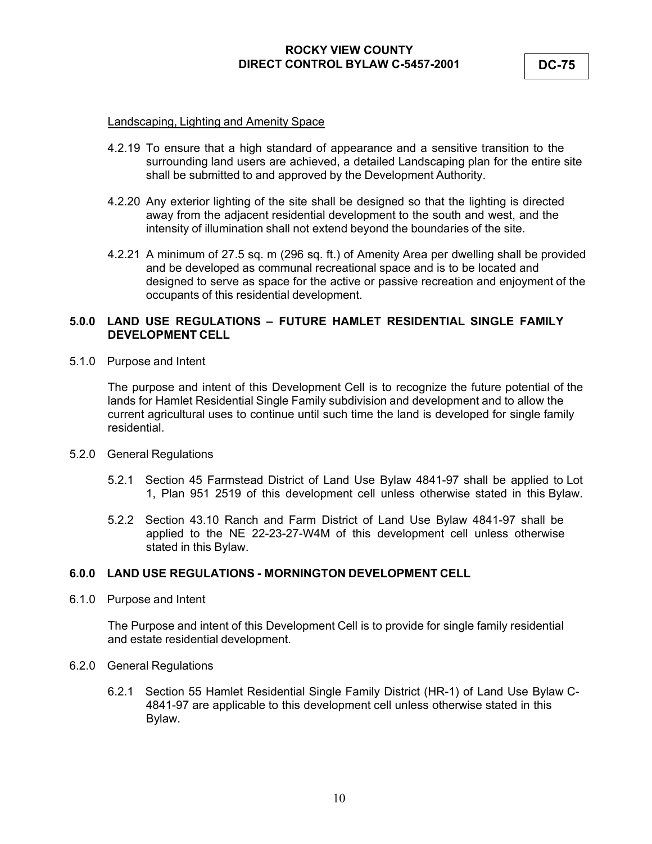## Landscaping, Lighting and Amenity Space

- 4.2.19 To ensure that a high standard of appearance and a sensitive transition to the surrounding land users are achieved, a detailed Landscaping plan for the entire site shall be submitted to and approved by the Development Authority.
- 4.2.20 Any exterior lighting of the site shall be designed so that the lighting is directed away from the adjacent residential development to the south and west, and the intensity of illumination shall not extend beyond the boundaries of the site.
- 4.2.21 A minimum of 27.5 sq. m (296 sq. ft.) of Amenity Area per dwelling shall be provided and be developed as communal recreational space and is to be located and designed to serve as space for the active or passive recreation and enjoyment of the occupants of this residential development.

## **5.0.0 LAND USE REGULATIONS – FUTURE HAMLET RESIDENTIAL SINGLE FAMILY DEVELOPMENT CELL**

5.1.0 Purpose and Intent

The purpose and intent of this Development Cell is to recognize the future potential of the lands for Hamlet Residential Single Family subdivision and development and to allow the current agricultural uses to continue until such time the land is developed for single family residential.

- 5.2.0 General Regulations
	- 5.2.1 Section 45 Farmstead District of Land Use Bylaw 4841-97 shall be applied to Lot 1, Plan 951 2519 of this development cell unless otherwise stated in this Bylaw.
	- 5.2.2 Section 43.10 Ranch and Farm District of Land Use Bylaw 4841-97 shall be applied to the NE 22-23-27-W4M of this development cell unless otherwise stated in this Bylaw.

## **6.0.0 LAND USE REGULATIONS - MORNINGTON DEVELOPMENT CELL**

6.1.0 Purpose and Intent

The Purpose and intent of this Development Cell is to provide for single family residential and estate residential development.

- 6.2.0 General Regulations
	- 6.2.1 Section 55 Hamlet Residential Single Family District (HR-1) of Land Use Bylaw C-4841-97 are applicable to this development cell unless otherwise stated in this Bylaw.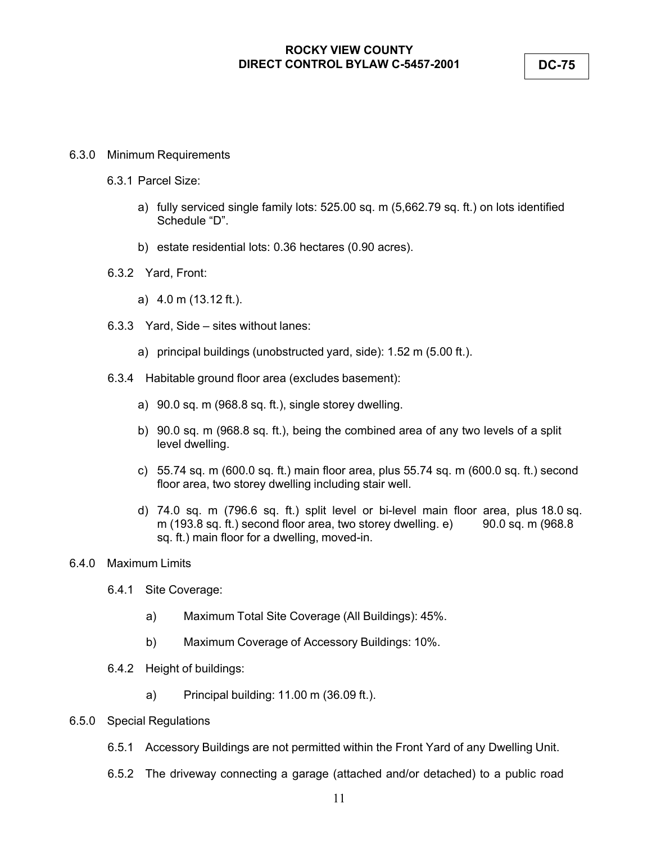## **ROCKY VIEW COUNTY DIRECT CONTROL BYLAW C-5457-2001 DC-75**

#### 6.3.0 Minimum Requirements

- 6.3.1 Parcel Size:
	- a) fully serviced single family lots: 525.00 sq. m (5,662.79 sq. ft.) on lots identified Schedule "D".
	- b) estate residential lots: 0.36 hectares (0.90 acres).

#### 6.3.2 Yard, Front:

- a) 4.0 m (13.12 ft.).
- 6.3.3 Yard, Side sites without lanes:
	- a) principal buildings (unobstructed yard, side): 1.52 m (5.00 ft.).
- 6.3.4 Habitable ground floor area (excludes basement):
	- a) 90.0 sq. m (968.8 sq. ft.), single storey dwelling.
	- b) 90.0 sq. m (968.8 sq. ft.), being the combined area of any two levels of a split level dwelling.
	- c) 55.74 sq. m (600.0 sq. ft.) main floor area, plus 55.74 sq. m (600.0 sq. ft.) second floor area, two storey dwelling including stair well.
	- d) 74.0 sq. m (796.6 sq. ft.) split level or bi-level main floor area, plus 18.0 sq. m (193.8 sq. ft.) second floor area, two storey dwelling.  $e$ ) sq. ft.) main floor for a dwelling, moved-in.

#### 6.4.0 Maximum Limits

- 6.4.1 Site Coverage:
	- a) Maximum Total Site Coverage (All Buildings): 45%.
	- b) Maximum Coverage of Accessory Buildings: 10%.
- 6.4.2 Height of buildings:
	- a) Principal building: 11.00 m (36.09 ft.).
- 6.5.0 Special Regulations
	- 6.5.1 Accessory Buildings are not permitted within the Front Yard of any Dwelling Unit.
	- 6.5.2 The driveway connecting a garage (attached and/or detached) to a public road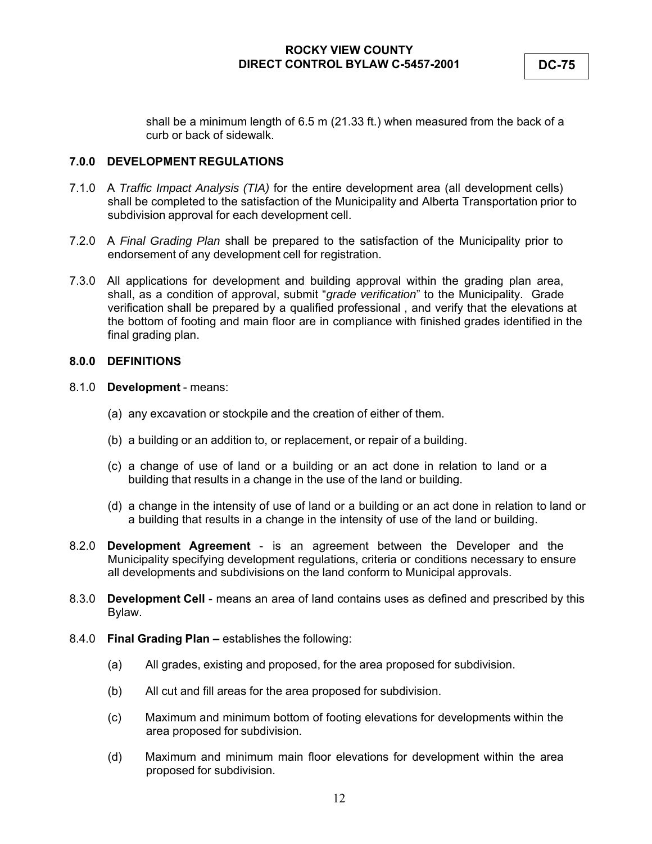shall be a minimum length of 6.5 m (21.33 ft.) when measured from the back of a curb or back of sidewalk.

## **7.0.0 DEVELOPMENT REGULATIONS**

- 7.1.0 A *Traffic Impact Analysis (TIA)* for the entire development area (all development cells) shall be completed to the satisfaction of the Municipality and Alberta Transportation prior to subdivision approval for each development cell.
- 7.2.0 A *Final Grading Plan* shall be prepared to the satisfaction of the Municipality prior to endorsement of any development cell for registration.
- 7.3.0 All applications for development and building approval within the grading plan area, shall, as a condition of approval, submit "*grade verification*" to the Municipality. Grade verification shall be prepared by a qualified professional , and verify that the elevations at the bottom of footing and main floor are in compliance with finished grades identified in the final grading plan.

### **8.0.0 DEFINITIONS**

### 8.1.0 **Development** - means:

- (a) any excavation or stockpile and the creation of either of them.
- (b) a building or an addition to, or replacement, or repair of a building.
- (c) a change of use of land or a building or an act done in relation to land or a building that results in a change in the use of the land or building.
- (d) a change in the intensity of use of land or a building or an act done in relation to land or a building that results in a change in the intensity of use of the land or building.
- 8.2.0 **Development Agreement**  is an agreement between the Developer and the Municipality specifying development regulations, criteria or conditions necessary to ensure all developments and subdivisions on the land conform to Municipal approvals.
- 8.3.0 **Development Cell**  means an area of land contains uses as defined and prescribed by this Bylaw.
- 8.4.0 **Final Grading Plan** establishes the following:
	- (a) All grades, existing and proposed, for the area proposed for subdivision.
	- (b) All cut and fill areas for the area proposed for subdivision.
	- (c) Maximum and minimum bottom of footing elevations for developments within the area proposed for subdivision.
	- (d) Maximum and minimum main floor elevations for development within the area proposed for subdivision.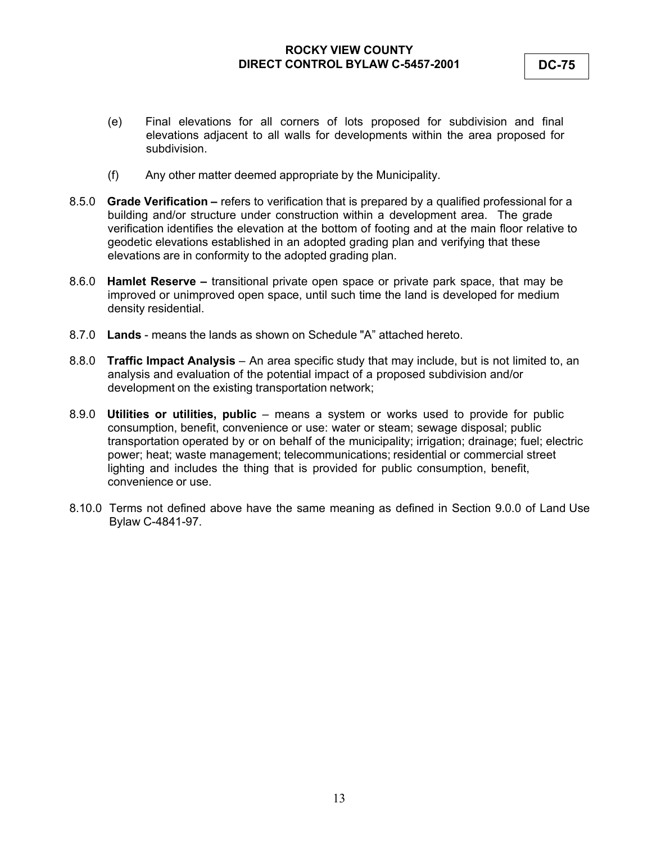- (e) Final elevations for all corners of lots proposed for subdivision and final elevations adjacent to all walls for developments within the area proposed for subdivision.
- (f) Any other matter deemed appropriate by the Municipality.
- 8.5.0 **Grade Verification** refers to verification that is prepared by a qualified professional for a building and/or structure under construction within a development area. The grade verification identifies the elevation at the bottom of footing and at the main floor relative to geodetic elevations established in an adopted grading plan and verifying that these elevations are in conformity to the adopted grading plan.
- 8.6.0 **Hamlet Reserve** transitional private open space or private park space, that may be improved or unimproved open space, until such time the land is developed for medium density residential.
- 8.7.0 **Lands**  means the lands as shown on Schedule "A" attached hereto.
- 8.8.0 **Traffic Impact Analysis**  An area specific study that may include, but is not limited to, an analysis and evaluation of the potential impact of a proposed subdivision and/or development on the existing transportation network;
- 8.9.0 **Utilities or utilities, public**  means a system or works used to provide for public consumption, benefit, convenience or use: water or steam; sewage disposal; public transportation operated by or on behalf of the municipality; irrigation; drainage; fuel; electric power; heat; waste management; telecommunications; residential or commercial street lighting and includes the thing that is provided for public consumption, benefit, convenience or use.
- 8.10.0 Terms not defined above have the same meaning as defined in Section 9.0.0 of Land Use Bylaw C-4841-97.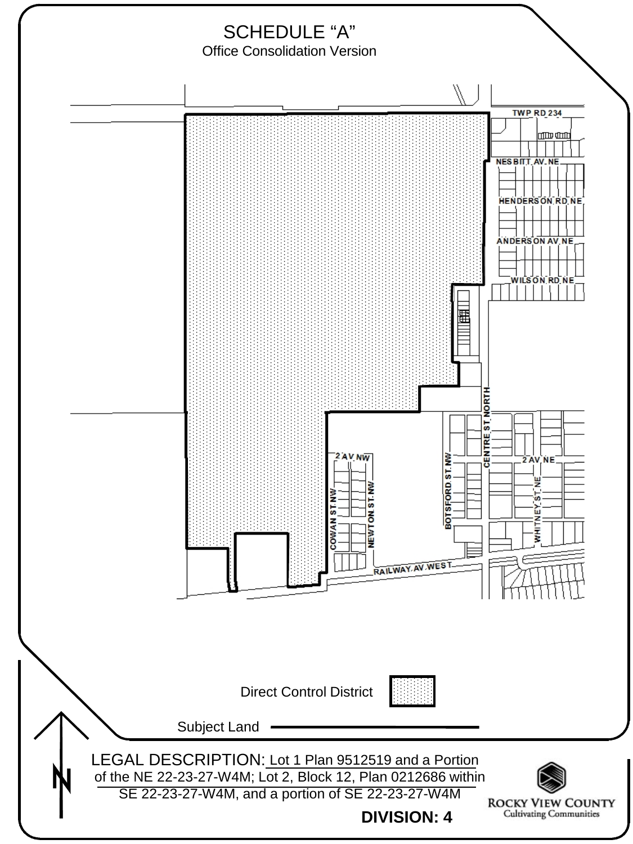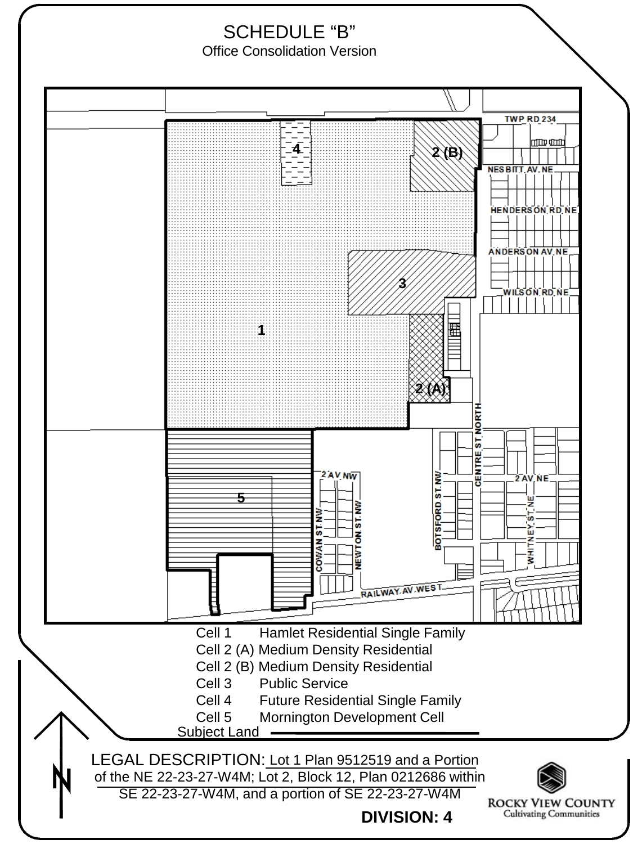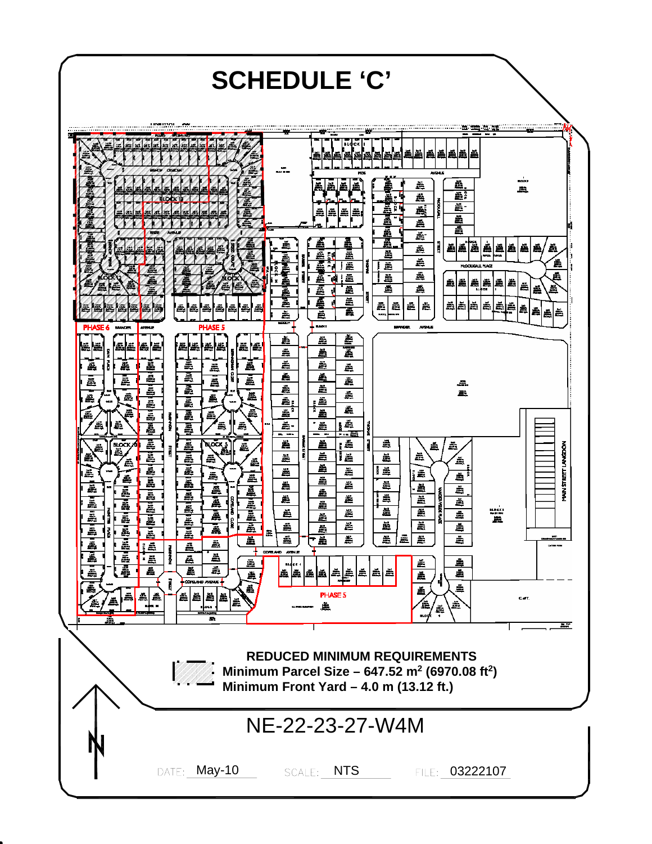